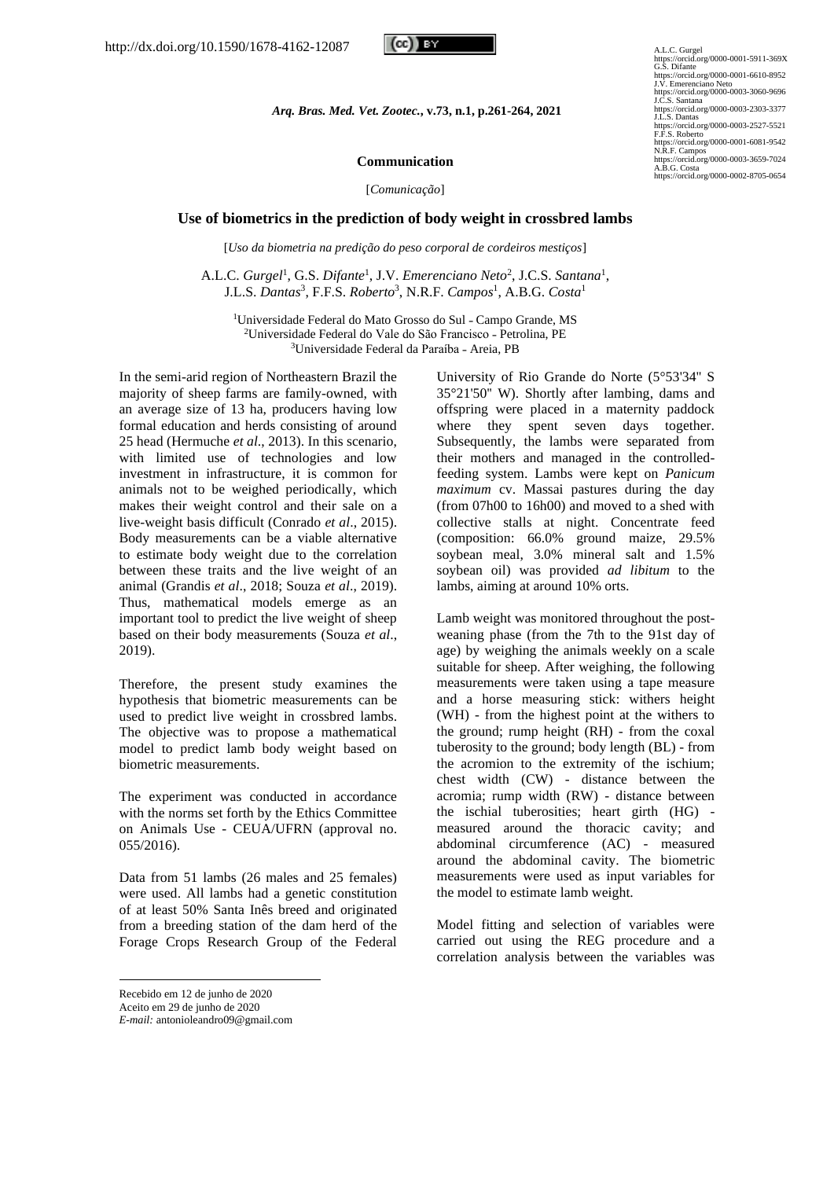

https://orcid.org/0000-0001-5911-369X<br>C.S. Difante<br>https://orcid.org/0000-0001-6610-8952<br>J.V. Emerenciano Neto<br>https://orcid.org/0000-0003-3060-9696<br>J.C.S. Santana https://orcid.org/0000-0003-2303-3377 J.L.S. Dantas https://orcid.org/0000-0003-2527-5521 F.F.S. Roberto https://orcid.org/0000-0001-6081-9542 N.R.F. Campos https://orcid.org/0000-0003-3659-7024 A.B.G. Costa https://orcid.org/0000-0002-8705-0654

*Arq. Bras. Med. Vet. Zootec.***, v.73, n.1, p.261-264, 2021**

### **Communication**

[*Comunicação*]

#### **Use of biometrics in the prediction of body weight in crossbred lambs**

[*Uso da biometria na predição do peso corporal de cordeiros mestiços*]

A.L.C. *Gurgel*<sup>1</sup> , G.S. *Difante*<sup>1</sup> , J.V. *Emerenciano Neto*<sup>2</sup> , J.C.S. *Santana*<sup>1</sup> , J.L.S. *Dantas*<sup>3</sup> , F.F.S. *Roberto*<sup>3</sup> , N.R.F. *Campos*<sup>1</sup> , A.B.G. *Costa*<sup>1</sup>

<sup>1</sup>Universidade Federal do Mato Grosso do Sul - Campo Grande, MS <sup>2</sup>Universidade Federal do Vale do São Francisco - Petrolina, PE <sup>3</sup>Universidade Federal da Paraíba - Areia, PB

In the semi-arid region of Northeastern Brazil the majority of sheep farms are family-owned, with an average size of 13 ha, producers having low formal education and herds consisting of around 25 head (Hermuche *et al*., 2013). In this scenario, with limited use of technologies and low investment in infrastructure, it is common for animals not to be weighed periodically, which makes their weight control and their sale on a live-weight basis difficult (Conrado *et al*., 2015). Body measurements can be a viable alternative to estimate body weight due to the correlation between these traits and the live weight of an animal (Grandis *et al*., 2018; Souza *et al*., 2019). Thus, mathematical models emerge as an important tool to predict the live weight of sheep based on their body measurements (Souza *et al*., 2019).

Therefore, the present study examines the hypothesis that biometric measurements can be used to predict live weight in crossbred lambs. The objective was to propose a mathematical model to predict lamb body weight based on biometric measurements.

The experiment was conducted in accordance with the norms set forth by the Ethics Committee on Animals Use - CEUA/UFRN (approval no. 055/2016).

Data from 51 lambs (26 males and 25 females) were used. All lambs had a genetic constitution of at least 50% Santa Inês breed and originated from a breeding station of the dam herd of the Forage Crops Research Group of the Federal

University of Rio Grande do Norte (5°53'34'' S 35°21'50'' W). Shortly after lambing, dams and offspring were placed in a maternity paddock where they spent seven days together. Subsequently, the lambs were separated from their mothers and managed in the controlledfeeding system. Lambs were kept on *Panicum maximum* cv. Massai pastures during the day (from 07h00 to 16h00) and moved to a shed with collective stalls at night. Concentrate feed (composition: 66.0% ground maize, 29.5% soybean meal, 3.0% mineral salt and 1.5% soybean oil) was provided *ad libitum* to the lambs, aiming at around 10% orts.

Lamb weight was monitored throughout the postweaning phase (from the 7th to the 91st day of age) by weighing the animals weekly on a scale suitable for sheep. After weighing, the following measurements were taken using a tape measure and a horse measuring stick: withers height (WH) - from the highest point at the withers to the ground; rump height (RH) - from the coxal tuberosity to the ground; body length (BL) - from the acromion to the extremity of the ischium; chest width (CW) - distance between the acromia; rump width (RW) - distance between the ischial tuberosities; heart girth (HG) measured around the thoracic cavity; and abdominal circumference (AC) - measured around the abdominal cavity. The biometric measurements were used as input variables for the model to estimate lamb weight.

Model fitting and selection of variables were carried out using the REG procedure and a correlation analysis between the variables was

Recebido em 12 de junho de 2020 Aceito em 29 de junho de 2020

*E-mail:* antonioleandro09@gmail.com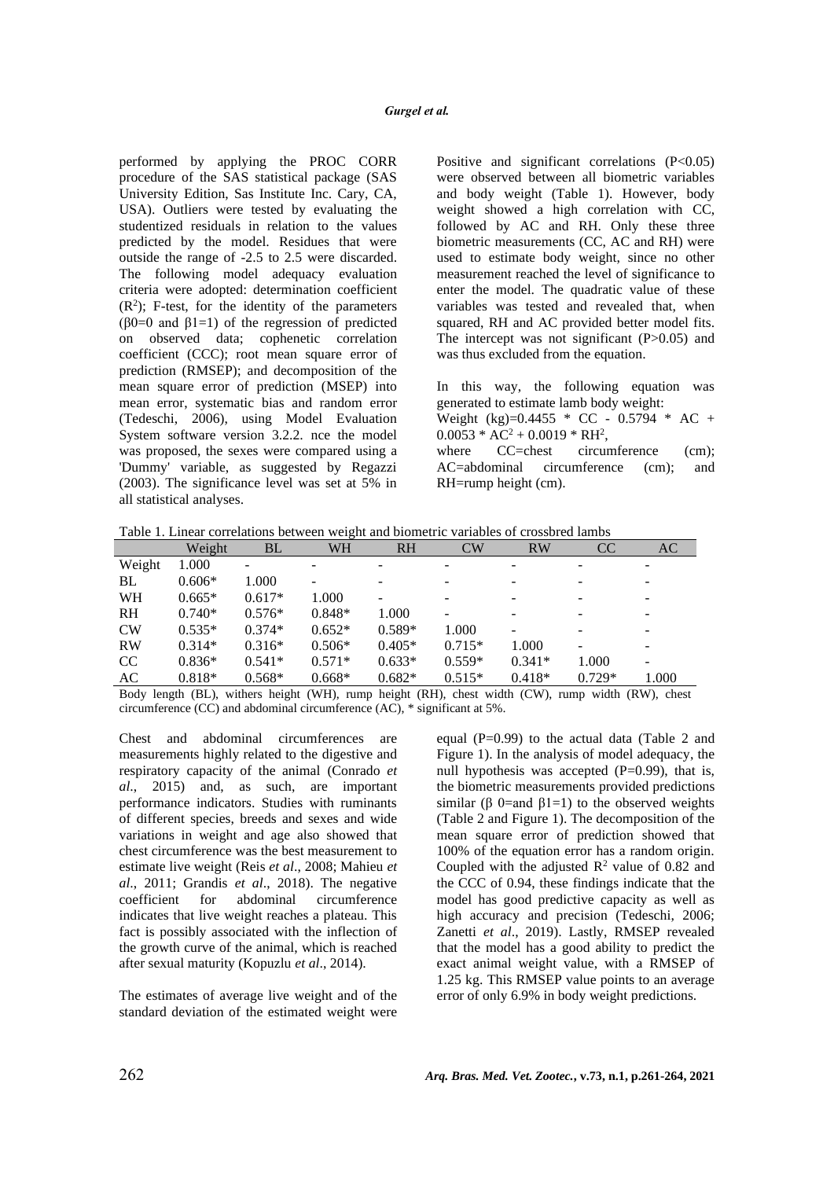performed by applying the PROC CORR procedure of the SAS statistical package (SAS University Edition, Sas Institute Inc. Cary, CA, USA). Outliers were tested by evaluating the studentized residuals in relation to the values predicted by the model. Residues that were outside the range of -2.5 to 2.5 were discarded. The following model adequacy evaluation criteria were adopted: determination coefficient  $(R<sup>2</sup>)$ ; F-test, for the identity of the parameters  $(\beta0=0$  and  $\beta1=1)$  of the regression of predicted on observed data; cophenetic correlation coefficient (CCC); root mean square error of prediction (RMSEP); and decomposition of the mean square error of prediction (MSEP) into mean error, systematic bias and random error (Tedeschi, 2006), using Model Evaluation System software version 3.2.2. nce the model was proposed, the sexes were compared using a 'Dummy' variable, as suggested by Regazzi (2003). The significance level was set at 5% in all statistical analyses.

Positive and significant correlations  $(P<0.05)$ were observed between all biometric variables and body weight (Table 1). However, body weight showed a high correlation with CC, followed by AC and RH. Only these three biometric measurements (CC, AC and RH) were used to estimate body weight, since no other measurement reached the level of significance to enter the model. The quadratic value of these variables was tested and revealed that, when squared, RH and AC provided better model fits. The intercept was not significant (P>0.05) and was thus excluded from the equation.

In this way, the following equation was generated to estimate lamb body weight:

Weight (kg)=0.4455 \* CC - 0.5794 \* AC +  $0.0053 * AC^2 + 0.0019 * RH^2$ ,

where CC=chest circumference (cm); AC=abdominal circumference (cm); and RH=rump height (cm).

| Table 1. Linear correlations between weight and biometric variables of crossbred lambs |  |
|----------------------------------------------------------------------------------------|--|
|----------------------------------------------------------------------------------------|--|

|               | Weight   | <b>BL</b> | <b>WH</b> | <b>RH</b> | CW                       | <b>RW</b> | CC                           | AC    |
|---------------|----------|-----------|-----------|-----------|--------------------------|-----------|------------------------------|-------|
| Weight        | 1.000    |           | ۰         | ۰         | ۰                        | -         | ۰                            |       |
| BL            | $0.606*$ | 1.000     | -         |           | ۰                        |           | ۰                            |       |
| WH            | $0.665*$ | $0.617*$  | 1.000     | ۰         | -                        | ۰         | ۰                            |       |
| <b>RH</b>     | $0.740*$ | $0.576*$  | $0.848*$  | 1.000     | $\overline{\phantom{0}}$ | -         | $\overline{\phantom{0}}$     |       |
| <b>CW</b>     | $0.535*$ | $0.374*$  | $0.652*$  | $0.589*$  | 1.000                    |           | ۰                            |       |
| <b>RW</b>     | $0.314*$ | $0.316*$  | $0.506*$  | $0.405*$  | $0.715*$                 | 1.000     | $\qquad \qquad \blacksquare$ |       |
| <sub>CC</sub> | $0.836*$ | $0.541*$  | $0.571*$  | $0.633*$  | $0.559*$                 | $0.341*$  | 1.000                        |       |
| AC            | $0.818*$ | $0.568*$  | $0.668*$  | $0.682*$  | $0.515*$                 | $0.418*$  | $0.729*$                     | 1.000 |

Body length (BL), withers height (WH), rump height (RH), chest width (CW), rump width (RW), chest circumference (CC) and abdominal circumference (AC), \* significant at 5%.

Chest and abdominal circumferences are measurements highly related to the digestive and respiratory capacity of the animal (Conrado *et al*., 2015) and, as such, are important performance indicators. Studies with ruminants of different species, breeds and sexes and wide variations in weight and age also showed that chest circumference was the best measurement to estimate live weight (Reis *et al*., 2008; Mahieu *et al*., 2011; Grandis *et al*., 2018). The negative coefficient for abdominal circumference indicates that live weight reaches a plateau. This fact is possibly associated with the inflection of the growth curve of the animal, which is reached after sexual maturity (Kopuzlu *et al*., 2014).

The estimates of average live weight and of the standard deviation of the estimated weight were equal (P=0.99) to the actual data (Table 2 and Figure 1). In the analysis of model adequacy, the null hypothesis was accepted  $(P=0.99)$ , that is, the biometric measurements provided predictions similar (β 0=and β1=1) to the observed weights (Table 2 and Figure 1). The decomposition of the mean square error of prediction showed that 100% of the equation error has a random origin. Coupled with the adjusted  $\mathbb{R}^2$  value of 0.82 and the CCC of 0.94, these findings indicate that the model has good predictive capacity as well as high accuracy and precision (Tedeschi, 2006; Zanetti *et al*., 2019). Lastly, RMSEP revealed that the model has a good ability to predict the exact animal weight value, with a RMSEP of 1.25 kg. This RMSEP value points to an average error of only 6.9% in body weight predictions.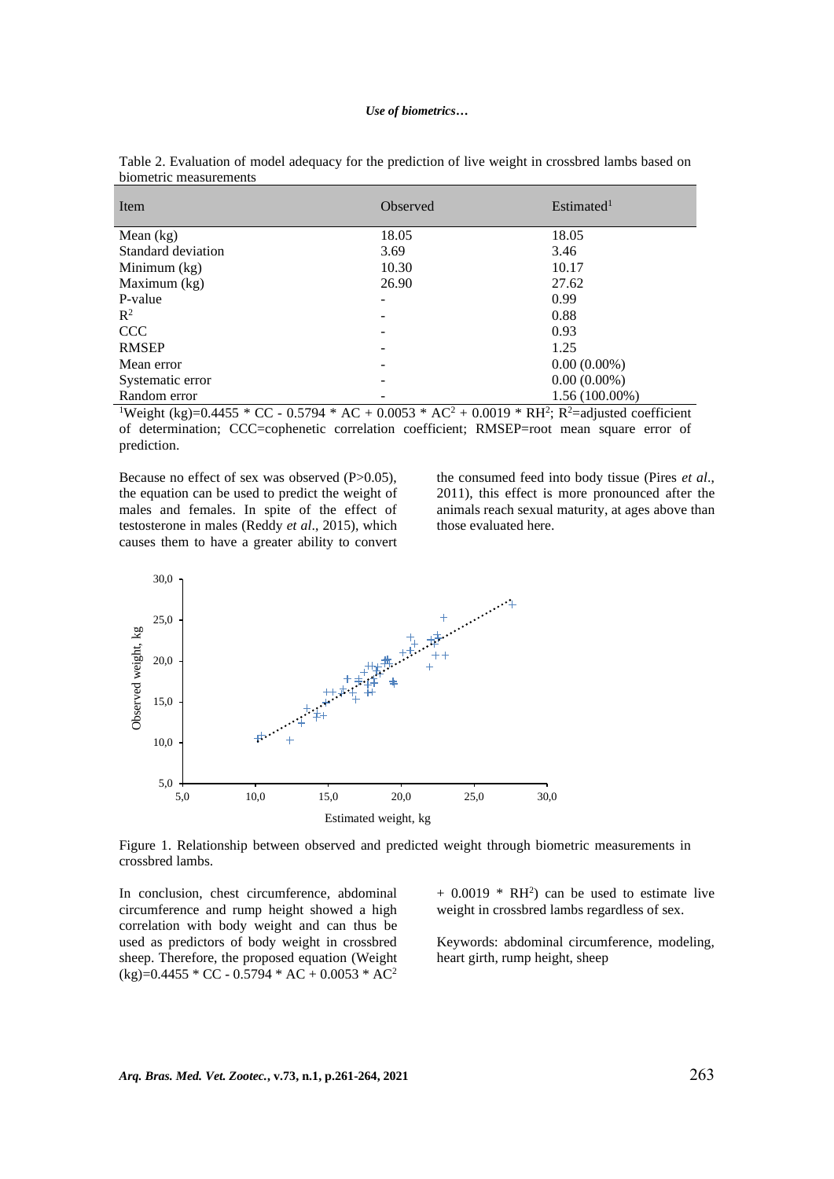| Item               | Observed | Estimated <sup>1</sup>            |
|--------------------|----------|-----------------------------------|
| Mean $(kg)$        | 18.05    | 18.05                             |
| Standard deviation | 3.69     | 3.46                              |
| Minimum $(kg)$     | 10.30    | 10.17                             |
| Maximum (kg)       | 26.90    | 27.62                             |
| P-value            |          | 0.99                              |
| $\mathbb{R}^2$     |          | 0.88                              |
| <b>CCC</b>         |          | 0.93                              |
| <b>RMSEP</b>       |          | 1.25                              |
| Mean error         |          | $0.00(0.00\%)$                    |
| Systematic error   |          | $0.00(0.00\%)$                    |
| Random error       | $\sim$   | $1.56(100.00\%)$<br>$\sim$ $\sim$ |

Table 2. Evaluation of model adequacy for the prediction of live weight in crossbred lambs based on biometric measurements

<sup>1</sup>Weight (kg)=0.4455 \* CC - 0.5794 \* AC + 0.0053 \* AC<sup>2</sup> + 0.0019 \* RH<sup>2</sup>; R<sup>2</sup>=adjusted coefficient of determination; CCC=cophenetic correlation coefficient; RMSEP=root mean square error of prediction.

Because no effect of sex was observed (P>0.05), the equation can be used to predict the weight of males and females. In spite of the effect of testosterone in males (Reddy *et al*., 2015), which causes them to have a greater ability to convert the consumed feed into body tissue (Pires *et al*., 2011), this effect is more pronounced after the animals reach sexual maturity, at ages above than those evaluated here.



Figure 1. Relationship between observed and predicted weight through biometric measurements in crossbred lambs.

In conclusion, chest circumference, abdominal circumference and rump height showed a high correlation with body weight and can thus be used as predictors of body weight in crossbred sheep. Therefore, the proposed equation (Weight  $(kg)=0.4455 * CC - 0.5794 * AC + 0.0053 * AC<sup>2</sup>$ 

 $+$  0.0019  $*$  RH<sup>2</sup>) can be used to estimate live weight in crossbred lambs regardless of sex.

Keywords: abdominal circumference, modeling, heart girth, rump height, sheep